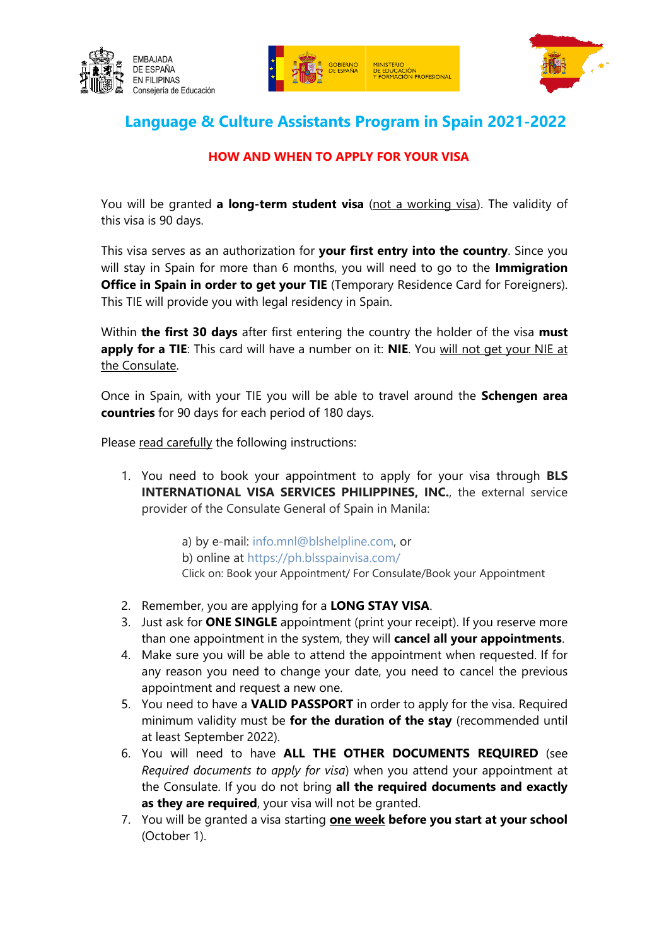





# **Language & Culture Assistants Program in Spain 2021-2022**

# **HOW AND WHEN TO APPLY FOR YOUR VISA**

You will be granted **a long-term student visa** (not a working visa). The validity of this visa is 90 days.

This visa serves as an authorization for **your first entry into the country**. Since you will stay in Spain for more than 6 months, you will need to go to the **Immigration Office in Spain in order to get your TIE** (Temporary Residence Card for Foreigners). This TIE will provide you with legal residency in Spain.

Within **the first 30 days** after first entering the country the holder of the visa **must apply for a TIE**: This card will have a number on it: **NIE**. You will not get your NIE at the Consulate.

Once in Spain, with your TIE you will be able to travel around the **Schengen area countries** for 90 days for each period of 180 days.

Please read carefully the following instructions:

1. You need to book your appointment to apply for your visa through **BLS INTERNATIONAL VISA SERVICES PHILIPPINES, INC.**, the external service provider of the Consulate General of Spain in Manila:

> a) by e-mail: info.mnl@blshelpline.com, or b) online at https://ph.blsspainvisa.com/ Click on: Book your Appointment/ For Consulate/Book your Appointment

- 2. Remember, you are applying for a **LONG STAY VISA**.
- 3. Just ask for **ONE SINGLE** appointment (print your receipt). If you reserve more than one appointment in the system, they will **cancel all your appointments**.
- 4. Make sure you will be able to attend the appointment when requested. If for any reason you need to change your date, you need to cancel the previous appointment and request a new one.
- 5. You need to have a **VALID PASSPORT** in order to apply for the visa. Required minimum validity must be **for the duration of the stay** (recommended until at least September 2022).
- 6. You will need to have **ALL THE OTHER DOCUMENTS REQUIRED** (see *Required documents to apply for visa*) when you attend your appointment at the Consulate. If you do not bring **all the required documents and exactly as they are required**, your visa will not be granted.
- 7. You will be granted a visa starting **one week before you start at your school** (October 1).